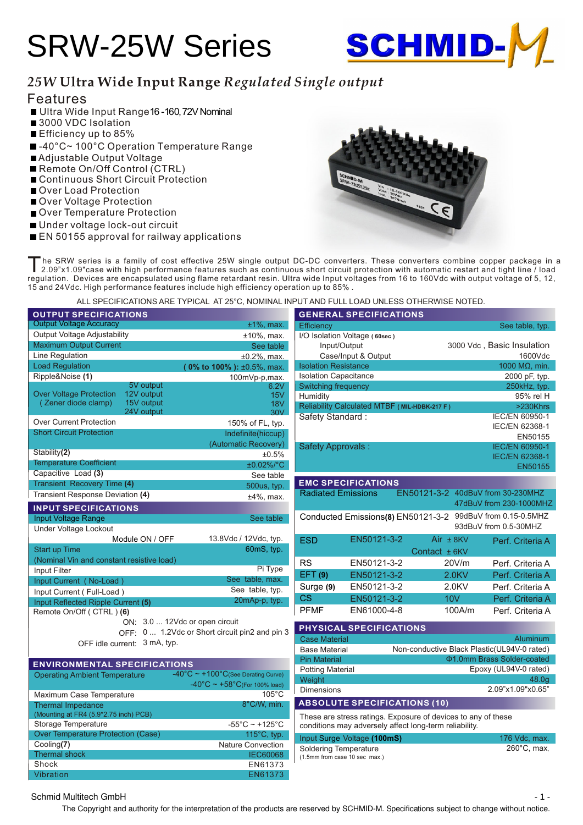# SRW-25W Series



# *25W* **Ultra Wide Input Range** *Regulated Single output*

#### Features

- Ultra Wide Input Range 16-160,72V Nominal
- 3000 VDC Isolation
- Efficiency up to 85%
- ■-40°C~100°C Operation Temperature Range
- Adjustable Output Voltage
- Remote On/Off Control (CTRL)
- Continuous Short Circuit Protection
- Over Load Protection
- Over Voltage Protection
- Over Temperature Protection
- Under voltage lock-out circuit
- EN 50155 approval for railway applications



The SRW series is a family of cost effective 25W single output DC-DC converters. These converters combine copper package in a 2.09"x1.09"case with high performance features such as continuous short circuit protection with regulation. Devices are encapsulated using flame retardant resin. Ultra wide Input voltages from 16 to 160Vdc with output voltage of 5, 12, 15 and 24Vdc. High performance features include high efficiency operation up to 85% .

ALL SPECIFICATIONS ARE TYPICAL AT 25°C, NOMINAL INPUT AND FULL LOAD UNLESS OTHERWISE NOTED.

| <b>OUTPUT SPECIFICATIONS</b>                               |                                                         | <b>GENERAL SPECIFICATIONS</b>                                 |                                                                                                                         |                                   |                                             |  |
|------------------------------------------------------------|---------------------------------------------------------|---------------------------------------------------------------|-------------------------------------------------------------------------------------------------------------------------|-----------------------------------|---------------------------------------------|--|
| <b>Output Voltage Accuracy</b><br>$±1\%$ , max.            |                                                         | Efficiency<br>See table, typ.                                 |                                                                                                                         |                                   |                                             |  |
| Output Voltage Adjustability<br>$±10\%$ , max.             |                                                         | I/O Isolation Voltage (60sec)                                 |                                                                                                                         |                                   |                                             |  |
| <b>Maximum Output Current</b>                              | See table                                               |                                                               | Input/Output                                                                                                            |                                   | 3000 Vdc, Basic Insulation                  |  |
| Line Regulation                                            | $±0.2\%$ , max.                                         |                                                               | Case/Input & Output                                                                                                     |                                   | 1600Vdc                                     |  |
| <b>Load Regulation</b>                                     | (0% to 100%): ±0.5%, max.                               | <b>Isolation Resistance</b>                                   |                                                                                                                         |                                   | 1000 MΩ, min.                               |  |
| Ripple&Noise (1)                                           | 100mVp-p,max.                                           | <b>Isolation Capacitance</b>                                  |                                                                                                                         |                                   | 2000 pF, typ.                               |  |
|                                                            | 5V output<br>6.2V                                       | <b>Switching frequency</b>                                    |                                                                                                                         |                                   | 250kHz, typ.                                |  |
| <b>Over Voltage Protection</b>                             | 12V output<br>15V                                       | Humidity                                                      |                                                                                                                         |                                   | 95% rel H                                   |  |
| (Zener diode clamp)                                        | 15V output<br><b>18V</b>                                |                                                               | Reliability Calculated MTBF (MIL-HDBK-217 F)                                                                            |                                   | >230Khrs                                    |  |
|                                                            | 24V output<br>30 <sub>V</sub>                           | Safety Standard:                                              |                                                                                                                         |                                   | <b>IEC/EN 60950-1</b>                       |  |
| <b>Over Current Protection</b>                             | 150% of FL, typ.                                        |                                                               |                                                                                                                         |                                   | IEC/EN 62368-1                              |  |
| <b>Short Circuit Protection</b>                            | Indefinite(hiccup)                                      |                                                               |                                                                                                                         |                                   | EN50155                                     |  |
|                                                            | (Automatic Recovery)                                    | <b>Safety Approvals:</b>                                      |                                                                                                                         |                                   | <b>IEC/EN 60950-1</b>                       |  |
| Stability(2)                                               | ±0.5%                                                   |                                                               |                                                                                                                         |                                   | <b>IEC/EN 62368-1</b>                       |  |
| <b>Temperature Coefficient</b>                             | ±0.02%/°C                                               |                                                               |                                                                                                                         |                                   | EN50155                                     |  |
| Capacitive Load (3)                                        | See table                                               |                                                               |                                                                                                                         |                                   |                                             |  |
| Transient Recovery Time (4)                                | 500us, typ.                                             |                                                               | <b>EMC SPECIFICATIONS</b>                                                                                               |                                   |                                             |  |
| Transient Response Deviation (4)                           | $±4\%$ , max.                                           | <b>Radiated Emissions</b>                                     |                                                                                                                         | EN50121-3-2 40dBuV from 30-230MHZ |                                             |  |
| <b>INPUT SPECIFICATIONS</b>                                |                                                         |                                                               |                                                                                                                         |                                   | 47dBuV from 230-1000MHZ                     |  |
| <b>Input Voltage Range</b>                                 | See table                                               |                                                               | Conducted Emissions(8) EN50121-3-2 99dBuV from 0.15-0.5MHZ                                                              |                                   |                                             |  |
| Under Voltage Lockout                                      |                                                         |                                                               |                                                                                                                         |                                   | 93dBuV from 0.5-30MHZ                       |  |
| Module ON / OFF                                            | 13.8Vdc / 12Vdc, typ.                                   | <b>ESD</b>                                                    | EN50121-3-2                                                                                                             | $Air \pm 8KV$                     | Perf. Criteria A                            |  |
| <b>Start up Time</b>                                       | 60mS, typ.                                              |                                                               |                                                                                                                         | Contact ± 6KV                     |                                             |  |
| (Nominal Vin and constant resistive load)                  |                                                         | <b>RS</b>                                                     | EN50121-3-2                                                                                                             | 20V/m                             | Perf. Criteria A                            |  |
| Input Filter                                               | Pi Type                                                 |                                                               |                                                                                                                         |                                   |                                             |  |
| Input Current (No-Load)                                    | See table, max.                                         | <b>EFT (9)</b>                                                | EN50121-3-2                                                                                                             | 2.0KV                             | Perf. Criteria A                            |  |
| Input Current (Full-Load)                                  | See table, typ.                                         | Surge (9)                                                     | EN50121-3-2                                                                                                             | 2.0KV                             | Perf. Criteria A                            |  |
| Input Reflected Ripple Current (5)                         | 20mAp-p, typ.                                           | CS.                                                           | EN50121-3-2                                                                                                             | <b>10V</b>                        | Perf. Criteria A                            |  |
| Remote On/Off (CTRL) (6)                                   |                                                         | <b>PFMF</b>                                                   | EN61000-4-8                                                                                                             | 100A/m                            | Perf. Criteria A                            |  |
| ON: 3.0  12Vdc or open circuit                             |                                                         |                                                               |                                                                                                                         |                                   |                                             |  |
|                                                            | OFF: 0  1.2Vdc or Short circuit pin2 and pin 3          | PHYSICAL SPECIFICATIONS                                       |                                                                                                                         |                                   |                                             |  |
| OFF idle current: 3 mA, typ.                               |                                                         | <b>Case Material</b>                                          |                                                                                                                         |                                   | <b>Aluminum</b>                             |  |
|                                                            |                                                         | <b>Base Material</b>                                          |                                                                                                                         |                                   | Non-conductive Black Plastic(UL94V-0 rated) |  |
| <b>ENVIRONMENTAL SPECIFICATIONS</b>                        |                                                         | <b>Pin Material</b>                                           |                                                                                                                         |                                   | Φ1.0mm Brass Solder-coated                  |  |
| <b>Operating Ambient Temperature</b>                       | $-40^{\circ}$ C ~ +100 $^{\circ}$ C(See Derating Curve) | <b>Potting Material</b>                                       |                                                                                                                         |                                   | Epoxy (UL94V-0 rated)                       |  |
|                                                            | $-40^{\circ}$ C ~ +58 $^{\circ}$ C(For 100% load)       | Weight                                                        |                                                                                                                         |                                   | 48.0 <sub>g</sub>                           |  |
| Maximum Case Temperature                                   | $105^{\circ}$ C                                         | <b>Dimensions</b>                                             |                                                                                                                         |                                   | 2.09"x1.09"x0.65"                           |  |
| <b>Thermal Impedance</b>                                   | 8°C/W, min.                                             |                                                               | <b>ABSOLUTE SPECIFICATIONS (10)</b>                                                                                     |                                   |                                             |  |
| (Mounting at FR4 (5.9*2.75 inch) PCB)                      |                                                         |                                                               |                                                                                                                         |                                   |                                             |  |
| Storage Temperature<br>$-55^{\circ}$ C ~ +125 $^{\circ}$ C |                                                         |                                                               | These are stress ratings. Exposure of devices to any of these<br>conditions may adversely affect long-term reliability. |                                   |                                             |  |
| <b>Over Temperature Protection (Case)</b>                  | $115^{\circ}$ C, typ.                                   |                                                               |                                                                                                                         |                                   |                                             |  |
| Cooling(7)                                                 | <b>Nature Convection</b>                                |                                                               | Input Surge Voltage (100mS)                                                                                             |                                   | 176 Vdc, max.                               |  |
| <b>Thermal shock</b>                                       | <b>IEC60068</b>                                         | <b>Soldering Temperature</b><br>(1.5mm from case 10 sec max.) |                                                                                                                         |                                   | 260°C, max.                                 |  |
| Shock                                                      | EN61373                                                 |                                                               |                                                                                                                         |                                   |                                             |  |
| Vibration                                                  | EN61373                                                 |                                                               |                                                                                                                         |                                   |                                             |  |

Schmid Multitech GmbH

The Copyright and authority for the interpretation of the products are reserved by SCHMID-M. Specifications subject to change without notice.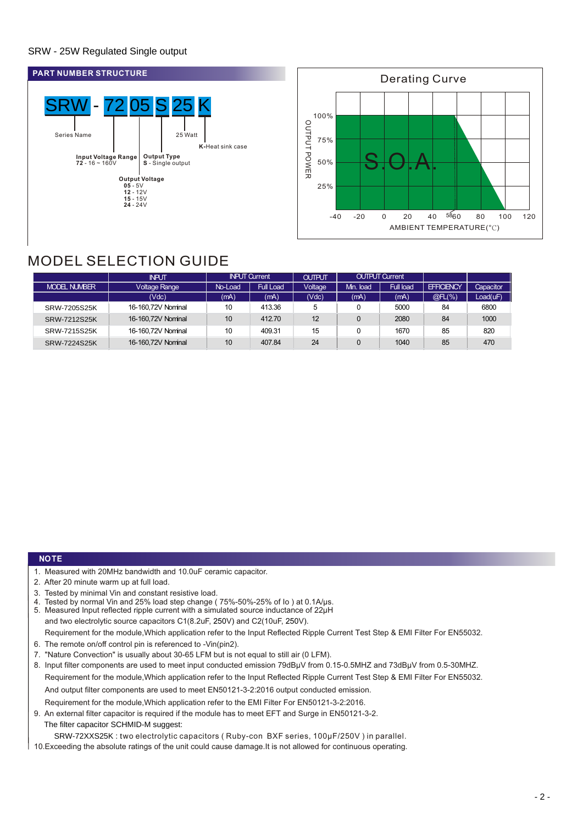#### SRW - 25W Regulated Single output



# MODEL SELECTION GUIDE

|                     | <b>INPUT</b>       | <b>INPUT Current</b> |                  | <b>OUTPUT</b> | <b>OUTPUT Current</b> |           |                   |                  |
|---------------------|--------------------|----------------------|------------------|---------------|-----------------------|-----------|-------------------|------------------|
| <b>MODEL NUMBER</b> | Voltage Range      | No-Load              | <b>Full Load</b> | Voltage       | Mn. load              | Full load | <b>EFFICIENCY</b> | <b>Capacitor</b> |
|                     | (Vdc)              | (mA)                 | (mA)             | (Vdc)         | (mA)                  | (mA)      | @FL(%)            | Load(uF)         |
| SRW-7205S25K        | 16-160,72V Nominal | 10                   | 413.36           | 5             |                       | 5000      | 84                | 6800             |
| SRW-7212S25K        | 16-160,72V Nominal | 10                   | 412.70           | 12            | 0                     | 2080      | 84                | 1000             |
| SRW-7215S25K        | 16-160.72V Nominal | 10                   | 409.31           | 15            |                       | 1670      | 85                | 820              |
| SRW-7224S25K        | 16-160.72V Nominal | 10                   | 407.84           | 24            | 0                     | 1040      | 85                | 470              |

#### **NOTE**

- 1. Measured with 20MHz bandwidth and 10.0uF ceramic capacitor.
- 2. After 20 minute warm up at full load.
- 3. Tested by minimal Vin and constant resistive load.
- 4. Tested by normal Vin and 25% load step change ( 75%-50%-25% of Io ) at 0.1A/μs.
- 5. Measured Input reflected ripple current with a simulated source inductance of 22μH and two electrolytic source capacitors C1(8.2uF, 250V) and C2(10uF, 250V). Requirement for the module, Which application refer to the Input Reflected Ripple Current Test Step & EMI Filter For EN55032.
- 6. The remote on/off control pin is referenced to -Vin(pin2).
- 7. "Nature Convection" is usually about 30-65 LFM but is not equal to still air (0 LFM).
- 8. Input filter components are used to meet input conducted emission 79dBµV from 0.15-0.5MHZ and 73dBµV from 0.5-30MHZ. Requirement for the module, Which application refer to the Input Reflected Ripple Current Test Step & EMI Filter For EN55032. And output filter components are used to meet EN50121-3-2:2016 output conducted emission.
- Requirement for the module, Which application refer to the EMI Filter For EN50121-3-2:2016.
- 9. . An external filter capacitor is required if the module has to meet EFT and Surge in EN50121-3-2 The filter capacitor SCHMID-M suggest:
	- SRW-72XXS25K : two electrolytic capacitors ( Ruby-con BXF series, 100µF/250V ) in parallel.
- 10.Exceeding the absolute ratings of the unit could cause damage.It is not allowed for continuous operating.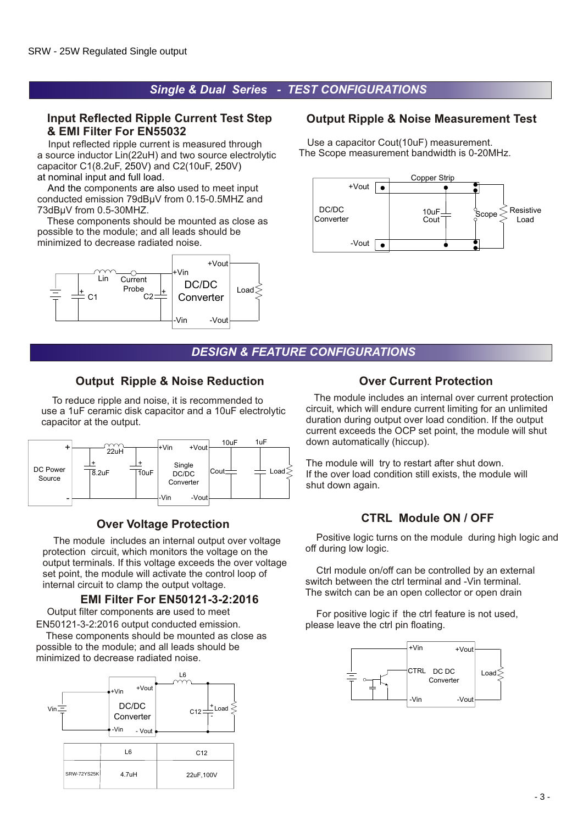## *Single & Dual Series - TEST CONFIGURATIONS*

#### **Input Reflected Ripple Current Test Step & EMI Filter For EN55032**

 Input reflected ripple current is measured through a source inductor Lin(22uH) and two source electrolytic capacitor C1(8.2uF, 250V) and C2(10uF, 250V) at nominal input and full load.

And the components are also used to meet input conducted emission 79dBμV from 0.15-0.5MHZ and 73dBμV from 0.5-30MHZ.

 These components should be mounted as close as possible to the module; and all leads should be minimized to decrease radiated noise.



#### **Output Ripple & Noise Measurement Test**

 Use a capacitor Cout(10uF) measurement. The Scope measurement bandwidth is 0-20MHz.



## *DESIGN & FEATURE CONFIGURATIONS*

#### **Output Ripple & Noise Reduction**

 To reduce ripple and noise, it is recommended to use a 1uF ceramic disk capacitor and a 10uF electrolytic capacitor at the output.



## **Over Voltage Protection**

 The module includes an internal output over voltage protection circuit, which monitors the voltage on the output terminals. If this voltage exceeds the over voltage set point, the module will activate the control loop of internal circuit to clamp the output voltage.

#### **EMI Filter For EN50121-3-2:2016**

 Output filter components are used to meet EN50121-3-2:2016 output conducted emission.

 These components should be mounted as close as possible to the module; and all leads should be minimized to decrease radiated noise.



#### **Over Current Protection**

 The module includes an internal over current protection circuit, which will endure current limiting for an unlimited duration during output over load condition. If the output current exceeds the OCP set point, the module will shut down automatically (hiccup).

 The module will try to restart after shut down. If the over load condition still exists, the module will shut down again.

## **CTRL Module ON / OFF**

 Positive logic turns on the module during high logic and off during low logic.

 Ctrl module on/off can be controlled by an external switch between the ctrl terminal and -Vin terminal. The switch can be an open collector or open drain

 For positive logic if the ctrl feature is not used, please leave the ctrl pin floating.